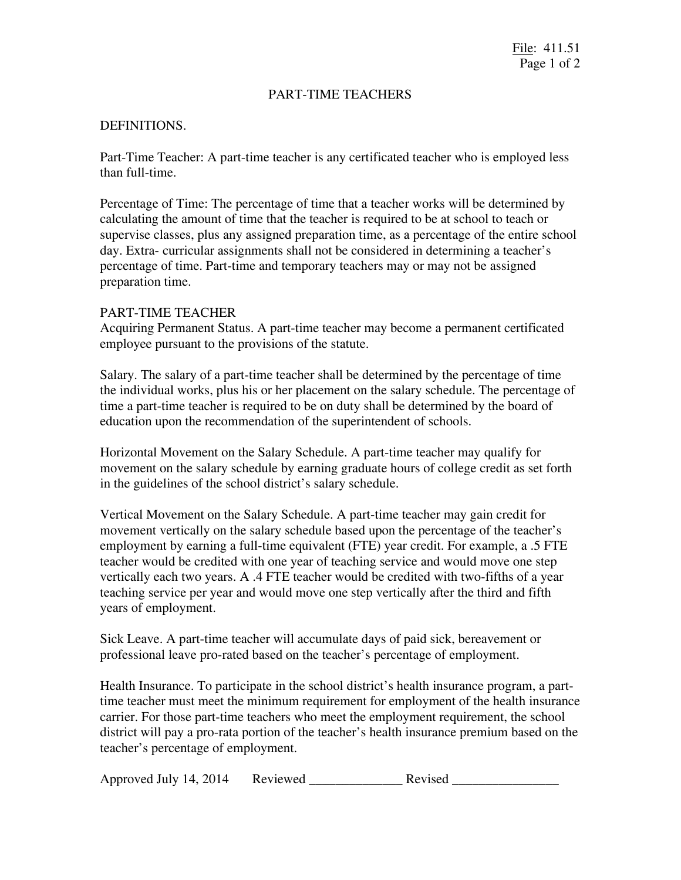## PART-TIME TEACHERS

## DEFINITIONS.

Part-Time Teacher: A part-time teacher is any certificated teacher who is employed less than full-time.

Percentage of Time: The percentage of time that a teacher works will be determined by calculating the amount of time that the teacher is required to be at school to teach or supervise classes, plus any assigned preparation time, as a percentage of the entire school day. Extra- curricular assignments shall not be considered in determining a teacher's percentage of time. Part-time and temporary teachers may or may not be assigned preparation time.

## PART-TIME TEACHER

Acquiring Permanent Status. A part-time teacher may become a permanent certificated employee pursuant to the provisions of the statute.

Salary. The salary of a part-time teacher shall be determined by the percentage of time the individual works, plus his or her placement on the salary schedule. The percentage of time a part-time teacher is required to be on duty shall be determined by the board of education upon the recommendation of the superintendent of schools.

Horizontal Movement on the Salary Schedule. A part-time teacher may qualify for movement on the salary schedule by earning graduate hours of college credit as set forth in the guidelines of the school district's salary schedule.

Vertical Movement on the Salary Schedule. A part-time teacher may gain credit for movement vertically on the salary schedule based upon the percentage of the teacher's employment by earning a full-time equivalent (FTE) year credit. For example, a .5 FTE teacher would be credited with one year of teaching service and would move one step vertically each two years. A .4 FTE teacher would be credited with two-fifths of a year teaching service per year and would move one step vertically after the third and fifth years of employment.

Sick Leave. A part-time teacher will accumulate days of paid sick, bereavement or professional leave pro-rated based on the teacher's percentage of employment.

Health Insurance. To participate in the school district's health insurance program, a parttime teacher must meet the minimum requirement for employment of the health insurance carrier. For those part-time teachers who meet the employment requirement, the school district will pay a pro-rata portion of the teacher's health insurance premium based on the teacher's percentage of employment.

|  | Approved July 14, 2014 | Reviewed | <b>Revised</b> |  |
|--|------------------------|----------|----------------|--|
|--|------------------------|----------|----------------|--|